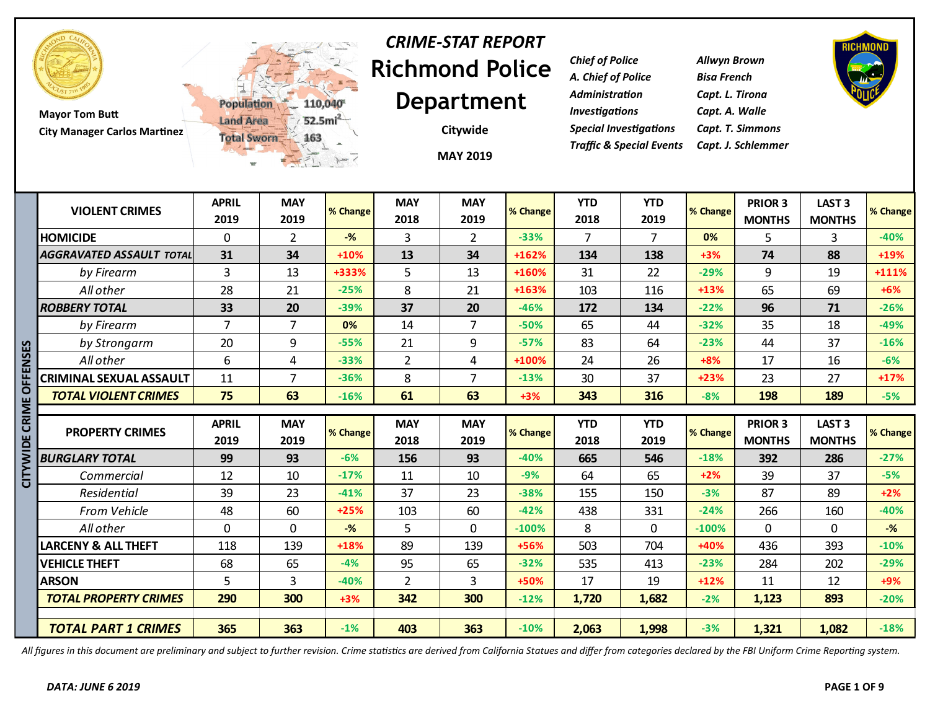

**Mayor Tom Butt City Manager Carlos Martinez**



## **Richmond Police Department** *CRIME-STAT REPORT*

**MAY 2019 Citywide**

*Chief of Police Allwyn Brown A. Chief of Police Bisa French Administration Capt. L. Tirona Investigations Capt. A. Walle Special Investigations Capt. T. Simmons Traffic & Special Events Capt. J. Schlemmer*



|                 |                                 | <b>TEL</b>           | 二元 1-7             |          |                    | <b>MAY 2019</b>    |          |                    |                    |          |                          |                                    |          |
|-----------------|---------------------------------|----------------------|--------------------|----------|--------------------|--------------------|----------|--------------------|--------------------|----------|--------------------------|------------------------------------|----------|
|                 | <b>VIOLENT CRIMES</b>           | <b>APRIL</b><br>2019 | <b>MAY</b><br>2019 | % Change | <b>MAY</b><br>2018 | <b>MAY</b><br>2019 | % Change | <b>YTD</b><br>2018 | <b>YTD</b><br>2019 | % Change | PRIOR 3<br><b>MONTHS</b> | LAST <sub>3</sub><br><b>MONTHS</b> | % Change |
|                 | <b>HOMICIDE</b>                 | $\mathbf 0$          | $\overline{2}$     | $-%$     | 3                  | $\overline{2}$     | $-33%$   | 7                  | $\overline{7}$     | 0%       | 5                        | 3                                  | $-40%$   |
|                 | <b>AGGRAVATED ASSAULT TOTAL</b> | 31                   | 34                 | $+10%$   | 13                 | 34                 | +162%    | 134                | 138                | $+3%$    | 74                       | 88                                 | +19%     |
|                 | by Firearm                      | 3                    | 13                 | +333%    | 5                  | 13                 | +160%    | 31                 | 22                 | $-29%$   | 9                        | 19                                 | +111%    |
|                 | All other                       | 28                   | 21                 | $-25%$   | 8                  | 21                 | +163%    | 103                | 116                | $+13%$   | 65                       | 69                                 | $+6%$    |
|                 | <b>ROBBERY TOTAL</b>            | 33                   | 20                 | $-39%$   | 37                 | 20                 | $-46%$   | 172                | 134                | $-22%$   | 96                       | 71                                 | $-26%$   |
|                 | by Firearm                      | $\overline{7}$       | $\overline{7}$     | 0%       | 14                 | $\overline{7}$     | $-50%$   | 65                 | 44                 | $-32%$   | 35                       | 18                                 | $-49%$   |
|                 | by Strongarm                    | 20                   | 9                  | $-55%$   | 21                 | 9                  | $-57%$   | 83                 | 64                 | $-23%$   | 44                       | 37                                 | $-16%$   |
|                 | All other                       | 6                    | 4                  | $-33%$   | $\overline{2}$     | 4                  | +100%    | 24                 | 26                 | $+8%$    | 17                       | 16                                 | $-6%$    |
| <b>OFFENSES</b> | CRIMINAL SEXUAL ASSAULT         | 11                   | $\overline{7}$     | $-36%$   | 8                  | 7                  | $-13%$   | 30                 | 37                 | $+23%$   | 23                       | 27                                 | $+17%$   |
|                 | <b>TOTAL VIOLENT CRIMES</b>     | 75                   | 63                 | $-16%$   | 61                 | 63                 | $+3%$    | 343                | 316                | $-8%$    | 198                      | 189                                | $-5%$    |
|                 |                                 |                      |                    |          |                    |                    |          |                    |                    |          |                          |                                    |          |
| CITYWIDE CRIME  | <b>PROPERTY CRIMES</b>          | <b>APRIL</b><br>2019 | <b>MAY</b><br>2019 | % Change | <b>MAY</b><br>2018 | <b>MAY</b><br>2019 | % Change | <b>YTD</b><br>2018 | <b>YTD</b><br>2019 | % Change | PRIOR 3<br><b>MONTHS</b> | <b>LAST 3</b><br><b>MONTHS</b>     | % Change |
|                 | <b>BURGLARY TOTAL</b>           | 99                   | 93                 | $-6%$    | 156                | 93                 | $-40%$   | 665                | 546                | $-18%$   | 392                      | 286                                | $-27%$   |
|                 | Commercial                      | 12                   | 10                 | $-17%$   | 11                 | 10                 | $-9%$    | 64                 | 65                 | $+2%$    | 39                       | 37                                 | $-5%$    |
|                 | <b>Residential</b>              | 39                   | 23                 | $-41%$   | 37                 | 23                 | $-38%$   | 155                | 150                | $-3%$    | 87                       | 89                                 | $+2%$    |
|                 | <b>From Vehicle</b>             | 48                   | 60                 | $+25%$   | 103                | 60                 | $-42%$   | 438                | 331                | $-24%$   | 266                      | 160                                | $-40%$   |
|                 | All other                       | $\mathbf 0$          | $\mathbf 0$        | $-%$     | 5                  | 0                  | $-100%$  | 8                  | $\mathbf 0$        | $-100%$  | $\mathbf 0$              | 0                                  | $-%$     |
|                 | <b>LARCENY &amp; ALL THEFT</b>  | 118                  | 139                | $+18%$   | 89                 | 139                | +56%     | 503                | 704                | +40%     | 436                      | 393                                | $-10%$   |
|                 | <b>VEHICLE THEFT</b>            | 68                   | 65                 | $-4%$    | 95                 | 65                 | $-32%$   | 535                | 413                | $-23%$   | 284                      | 202                                | $-29%$   |
|                 | <b>ARSON</b>                    | 5                    | 3                  | $-40%$   | $\overline{2}$     | 3                  | +50%     | 17                 | 19                 | $+12%$   | 11                       | 12                                 | $+9%$    |
|                 | <b>TOTAL PROPERTY CRIMES</b>    | 290                  | 300                | $+3%$    | 342                | 300                | $-12%$   | 1,720              | 1,682              | $-2%$    | 1,123                    | 893                                | $-20%$   |
|                 |                                 |                      |                    |          |                    |                    |          |                    |                    |          |                          |                                    |          |

*All figures in this document are preliminary and subject to further revision. Crime statistics are derived from California Statues and differ from categories declared by the FBI Uniform Crime Reporting system.*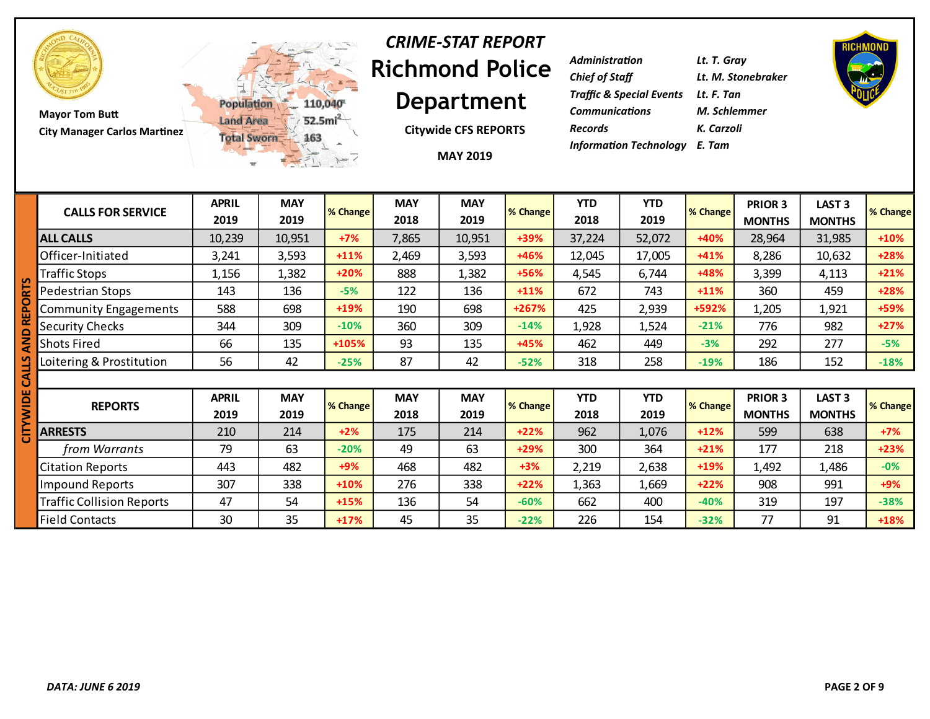

**Mayor Tom Butt City Manager Carlos Martinez**



#### **Richmond Police Department** *CRIME-STAT REPORT*

**Citywide CFS REPORTS**

| Administration                       | Lt. T. Gray        |
|--------------------------------------|--------------------|
| <b>Chief of Staff</b>                | Lt. M. Stonebraker |
| Traffic & Special Events Lt. F. Tan  |                    |
| <b>Communications</b>                | M. Schlemmer       |
| Records                              | K. Carzoli         |
| <b>Information Technology</b> E. Tam |                    |



Traffic Collision Reports 47 54 **+15%** 136 54 **-60%** 662 400 **-40%** 319 197 **-38%**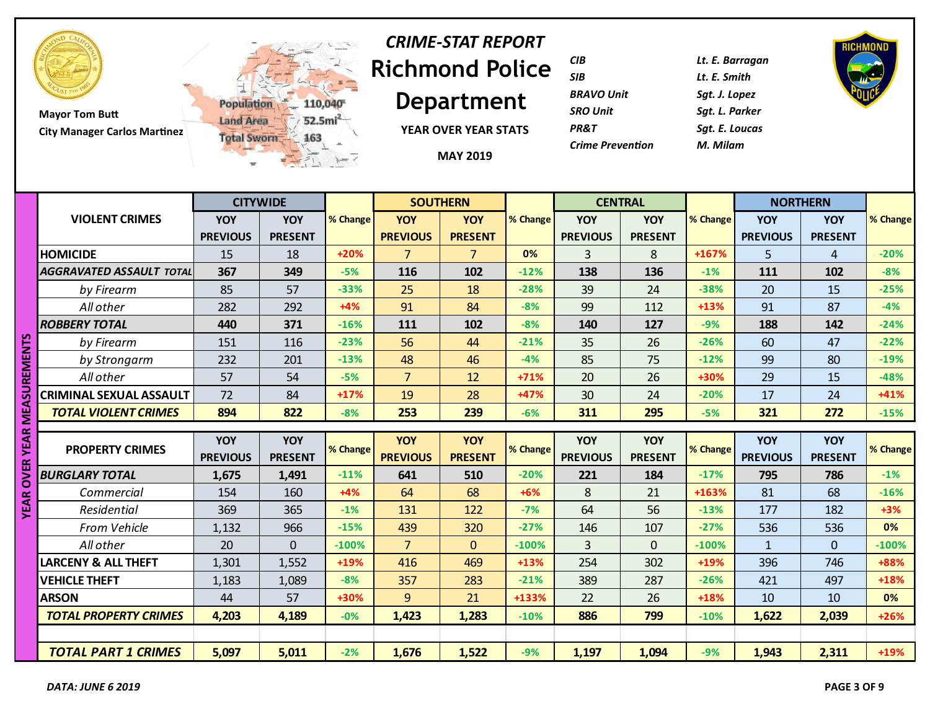

# **Richmond Police**  *CRIME-STAT REPORT*

**Department**

110,040

 $52.5mi<sup>2</sup>$ 

163

**YEAR OVER YEAR STATS**

**MAY 2019**

| <b>CIB</b>              | Lt. E. Barr |
|-------------------------|-------------|
| <b>SIB</b>              | Lt. E. Smit |
| <b>BRAVO Unit</b>       | Sgt. J. Lop |
| <b>SRO Unit</b>         | Sat. L. Par |
| <b>PR&amp;T</b>         | Sat. E. Lou |
| <b>Crime Prevention</b> | M. Milam    |
|                         |             |

*CIB Lt. E. Barragan SIB Lt. E. Smith BRAVO Unit Sgt. J. Lopez* **Parker** *PR&T Sgt. E. Loucas*



|                  |                                  |                        | <b>CITYWIDE</b>       |          | <b>SOUTHERN</b>               |                              |          | <b>CENTRAL</b>                |                       |          | <b>NORTHERN</b>               |                              |                 |
|------------------|----------------------------------|------------------------|-----------------------|----------|-------------------------------|------------------------------|----------|-------------------------------|-----------------------|----------|-------------------------------|------------------------------|-----------------|
|                  | <b>VIOLENT CRIMES</b>            | <b>YOY</b>             | <b>YOY</b>            | % Change | <b>YOY</b>                    | <b>YOY</b>                   | % Change | <b>YOY</b>                    | <b>YOY</b>            | % Change | <b>YOY</b>                    | YOY                          | % Change        |
|                  |                                  | <b>PREVIOUS</b>        | <b>PRESENT</b>        |          | <b>PREVIOUS</b>               | <b>PRESENT</b>               |          | <b>PREVIOUS</b>               | <b>PRESENT</b>        |          | <b>PREVIOUS</b>               | <b>PRESENT</b>               |                 |
|                  | <b>HOMICIDE</b>                  | 15                     | 18                    | $+20%$   | $\overline{7}$                | $\overline{7}$               | 0%       | $\overline{3}$                | 8                     | +167%    | 5                             | $\overline{4}$               | $-20%$          |
|                  | <b>AGGRAVATED ASSAULT TOTAL</b>  | 367                    | 349                   | $-5%$    | 116                           | 102                          | $-12%$   | 138                           | 136                   | $-1%$    | 111                           | 102                          | $-8%$           |
|                  | by Firearm                       | 85                     | 57                    | $-33%$   | 25                            | 18                           | $-28%$   | 39                            | 24                    | $-38%$   | 20                            | 15                           | $-25%$          |
|                  | All other                        | 282                    | 292                   | $+4%$    | 91                            | 84                           | $-8%$    | 99                            | 112                   | $+13%$   | 91                            | 87                           | $-4%$           |
|                  | <b>ROBBERY TOTAL</b>             | 440                    | 371                   | $-16%$   | 111                           | 102                          | $-8%$    | 140                           | 127                   | $-9%$    | 188                           | 142                          | $-24%$          |
| <b>SUREMENTS</b> | by Firearm                       | 151                    | 116                   | $-23%$   | 56                            | 44                           | $-21%$   | 35                            | 26                    | $-26%$   | 60                            | 47                           | $-22%$          |
|                  | by Strongarm                     | 232                    | 201                   | $-13%$   | 48                            | 46                           | $-4%$    | 85                            | 75                    | $-12%$   | 99                            | 80                           | $-19%$          |
|                  | All other                        | 57                     | 54                    | $-5%$    | $\overline{7}$                | 12                           | $+71%$   | 20                            | 26                    | +30%     | 29                            | 15                           | $-48%$          |
|                  | CRIMINAL SEXUAL ASSAULT          | 72                     | 84                    | $+17%$   | 19                            | 28                           | +47%     | 30                            | 24                    | $-20%$   | 17                            | 24                           | $+41%$          |
| <b>MEA</b>       | <b>TOTAL VIOLENT CRIMES</b>      | 894                    | 822                   | $-8%$    | 253                           | 239                          | $-6%$    | 311                           | 295                   | $-5%$    | 321                           | 272                          | $-15%$          |
|                  |                                  |                        |                       |          |                               |                              |          |                               |                       |          |                               |                              |                 |
| <b>YEARI</b>     | <b>PROPERTY CRIMES</b>           | YOY<br><b>PREVIOUS</b> | YOY<br><b>PRESENT</b> | % Change | <b>YOY</b><br><b>PREVIOUS</b> | <b>YOY</b><br><b>PRESENT</b> | % Change | <b>YOY</b><br><b>PREVIOUS</b> | YOY<br><b>PRESENT</b> | % Change | <b>YOY</b><br><b>PREVIOUS</b> | <b>YOY</b><br><b>PRESENT</b> | % Change        |
| <b>OVER</b>      | <b>BURGLARY TOTAL</b>            |                        |                       | $-11%$   | 641                           | 510                          | $-20%$   |                               | 184                   | $-17%$   | 795                           | 786                          | $-1%$           |
|                  |                                  | 1,675                  | 1,491                 | $+4%$    |                               |                              | $+6%$    | 221<br>8                      |                       | $+163%$  |                               | 68                           |                 |
| <b>YEAR</b>      | Commercial<br>Residential        | 154<br>369             | 160<br>365            | $-1%$    | 64<br>131                     | 68<br>122                    | $-7%$    | 64                            | 21<br>56              | $-13%$   | 81<br>177                     | 182                          | $-16%$<br>$+3%$ |
|                  |                                  |                        |                       | $-15%$   |                               |                              | $-27%$   |                               |                       | $-27%$   |                               |                              | 0%              |
|                  | <b>From Vehicle</b><br>All other | 1,132<br>20            | 966<br>$\Omega$       |          | 439<br>$\overline{7}$         | 320<br>$\overline{0}$        |          | 146<br>$\overline{3}$         | 107<br>$\overline{0}$ |          | 536                           | 536<br>$\overline{0}$        | $-100%$         |
|                  |                                  |                        |                       | $-100%$  |                               |                              | $-100%$  |                               |                       | $-100%$  | $\mathbf{1}$                  |                              |                 |
|                  | <b>LARCENY &amp; ALL THEFT</b>   | 1,301                  | 1,552                 | $+19%$   | 416                           | 469                          | $+13%$   | 254                           | 302                   | $+19%$   | 396                           | 746                          | +88%            |
|                  | <b>VEHICLE THEFT</b>             | 1,183                  | 1,089                 | $-8%$    | 357                           | 283                          | $-21%$   | 389                           | 287                   | $-26%$   | 421                           | 497                          | $+18%$          |
|                  | <b>ARSON</b>                     | 44                     | 57                    | +30%     | $\overline{9}$                | 21                           | +133%    | 22                            | 26                    | $+18%$   | 10                            | 10                           | 0%              |
|                  | <b>TOTAL PROPERTY CRIMES</b>     | 4,203                  | 4,189                 | $-0%$    | 1,423                         | 1,283                        | $-10%$   | 886                           | 799                   | $-10%$   | 1,622                         | 2,039                        | $+26%$          |
|                  |                                  |                        |                       |          |                               |                              |          |                               |                       |          |                               |                              |                 |
|                  | <b>TOTAL PART 1 CRIMES</b>       | 5,097                  | 5,011                 | $-2%$    | 1,676                         | 1,522                        | $-9%$    | 1,197                         | 1,094                 | $-9%$    | 1,943                         | 2,311                        | +19%            |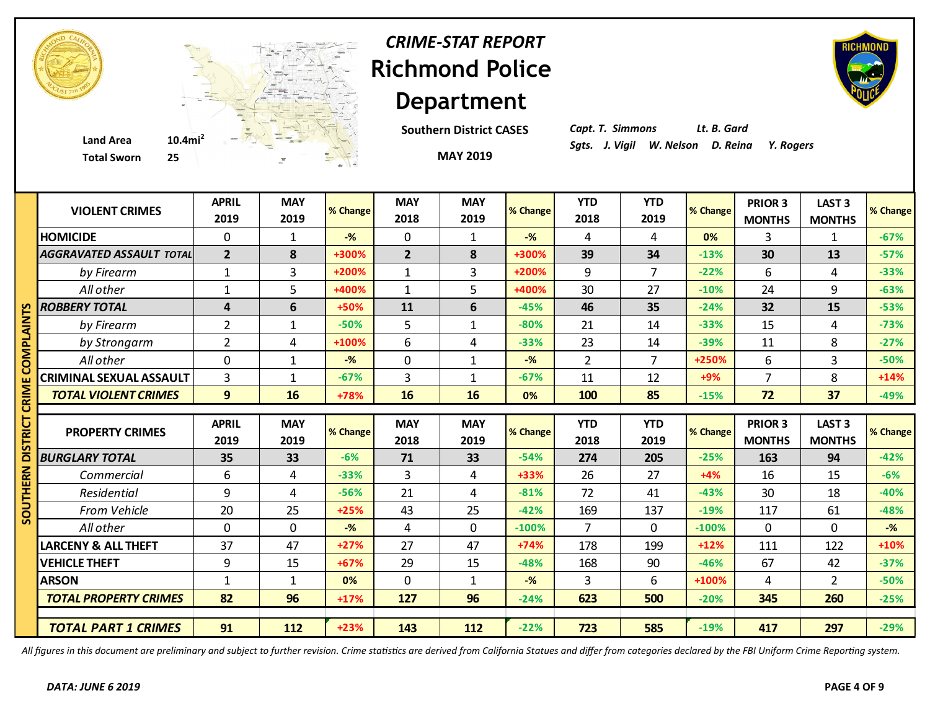

## **Richmond Police Department** *CRIME-STAT REPORT*

**Southern District CASES**



*Capt. T. Simmons Lt. B. Gard*

|      | <b>Total Sworn</b><br>25        |                      | $\mathcal{C}$      |          |                    | <b>MAY 2019</b>    |                |                    |                    |          |                          |                                    |          |
|------|---------------------------------|----------------------|--------------------|----------|--------------------|--------------------|----------------|--------------------|--------------------|----------|--------------------------|------------------------------------|----------|
|      | <b>VIOLENT CRIMES</b>           | <b>APRIL</b><br>2019 | <b>MAY</b><br>2019 | % Change | <b>MAY</b><br>2018 | <b>MAY</b><br>2019 | % Change       | <b>YTD</b><br>2018 | <b>YTD</b><br>2019 | % Change | PRIOR 3<br><b>MONTHS</b> | <b>LAST 3</b><br><b>MONTHS</b>     | % Change |
|      | <b>HOMICIDE</b>                 | 0                    | $\mathbf{1}$       | $-%$     | 0                  | 1                  | $-\frac{9}{6}$ | 4                  | 4                  | 0%       | 3                        | $\mathbf{1}$                       | $-67%$   |
|      | <b>AGGRAVATED ASSAULT TOTAL</b> | $\overline{2}$       | 8                  | +300%    | $\overline{2}$     | 8                  | +300%          | 39                 | 34                 | $-13%$   | 30                       | 13                                 | $-57%$   |
|      | by Firearm                      | $\mathbf{1}$         | 3                  | +200%    | $\mathbf{1}$       | 3                  | +200%          | 9                  | $\overline{7}$     | $-22%$   | 6                        | 4                                  | $-33%$   |
|      | All other                       | 1                    | 5                  | +400%    | $\mathbf{1}$       | 5                  | +400%          | 30                 | 27                 | $-10%$   | 24                       | 9                                  | $-63%$   |
| n    | <b>ROBBERY TOTAL</b>            | 4                    | 6                  | +50%     | 11                 | 6                  | $-45%$         | 46                 | 35                 | $-24%$   | 32                       | 15                                 | $-53%$   |
| ΜΣ   | by Firearm                      | $\overline{2}$       | $\mathbf{1}$       | $-50%$   | 5                  | $\mathbf{1}$       | $-80%$         | 21                 | 14                 | $-33%$   | 15                       | 4                                  | $-73%$   |
| o.   | by Strongarm                    | $\overline{2}$       | 4                  | +100%    | 6                  | 4                  | $-33%$         | 23                 | 14                 | $-39%$   | 11                       | 8                                  | $-27%$   |
| n    | All other                       | 0                    | $\mathbf{1}$       | $-%$     | $\mathbf 0$        | $\mathbf{1}$       | $-%$           | $\overline{2}$     | $\overline{7}$     | +250%    | 6                        | 3                                  | $-50%$   |
|      | <b>CRIMINAL SEXUAL ASSAULT</b>  | $\overline{3}$       | $\mathbf{1}$       | $-67%$   | $\overline{3}$     | $\mathbf{1}$       | $-67%$         | 11                 | 12                 | +9%      | $\overline{7}$           | 8                                  | $+14%$   |
| CRIM | <b>TOTAL VIOLENT CRIMES</b>     | 9                    | 16                 | +78%     | 16                 | 16                 | 0%             | 100                | 85                 | $-15%$   | 72                       | 37                                 | $-49%$   |
|      |                                 |                      |                    |          |                    |                    |                |                    |                    |          |                          |                                    |          |
| ᇎ    | <b>PROPERTY CRIMES</b>          | <b>APRIL</b><br>2019 | <b>MAY</b><br>2019 | % Change | <b>MAY</b><br>2018 | <b>MAY</b><br>2019 | % Change       | <b>YTD</b><br>2018 | <b>YTD</b><br>2019 | % Change | PRIOR 3<br><b>MONTHS</b> | LAST <sub>3</sub><br><b>MONTHS</b> | % Change |
|      | <b>BURGLARY TOTAL</b>           | 35                   | 33                 | $-6%$    | 71                 | 33                 | $-54%$         | 274                | 205                | $-25%$   | 163                      | 94                                 | $-42%$   |
| ERN  | Commercial                      | 6                    | 4                  | $-33%$   | 3                  | $\overline{4}$     | +33%           | 26                 | 27                 | $+4%$    | 16                       | 15                                 | $-6%$    |
| Ξ    | Residential                     | 9                    | 4                  | $-56%$   | 21                 | 4                  | $-81%$         | 72                 | 41                 | $-43%$   | 30                       | 18                                 | $-40%$   |
| 2    | From Vehicle                    | 20                   | 25                 | $+25%$   | 43                 | 25                 | $-42%$         | 169                | 137                | $-19%$   | 117                      | 61                                 | $-48%$   |
|      | All other                       | 0                    | $\mathbf 0$        | $-%$     | 4                  | $\mathbf 0$        | $-100%$        | $\overline{7}$     | $\overline{0}$     | $-100%$  | $\mathbf 0$              | $\mathbf 0$                        | $-$ %    |
|      | <b>LARCENY &amp; ALL THEFT</b>  | 37                   | 47                 | $+27%$   | 27                 | 47                 | $+74%$         | 178                | 199                | $+12%$   | 111                      | 122                                | $+10%$   |
|      |                                 |                      |                    |          |                    |                    | $-48%$         | 168                | 90                 | $-46%$   | 67                       | 42                                 | $-37%$   |
|      | <b>VEHICLE THEFT</b>            | 9                    | 15                 | $+67%$   | 29                 | 15                 |                |                    |                    |          |                          |                                    |          |
|      | <b>ARSON</b>                    | $\mathbf{1}$         | $\mathbf{1}$       | 0%       | $\mathbf 0$        | $\mathbf 1$        | $-%$           | 3                  | 6                  | +100%    | 4                        | $\overline{2}$                     | $-50%$   |
|      | <b>TOTAL PROPERTY CRIMES</b>    | 82                   | 96                 | $+17%$   | 127                | 96                 | $-24%$         | 623                | 500                | $-20%$   | 345                      | 260                                | $-25%$   |

*All figures in this document are preliminary and subject to further revision. Crime statistics are derived from California Statues and differ from categories declared by the FBI Uniform Crime Reporting system.*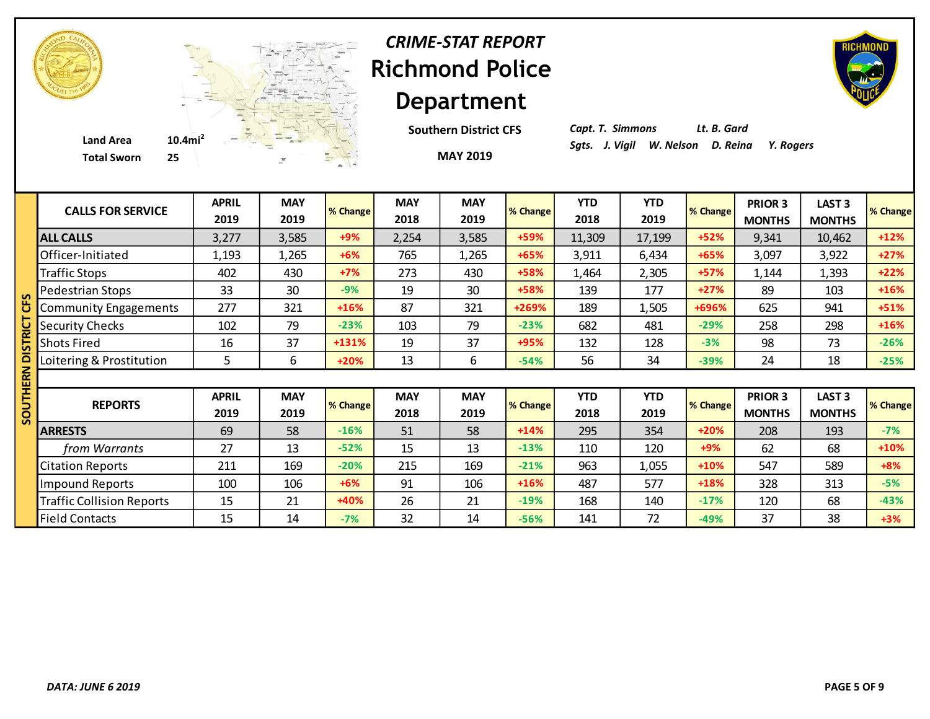

## **Richmond Police Department** *CRIME-STAT REPORT*

**MAY 2019 Southern District CFS** *Capt. T. Simmons Lt. B. Gard*

| <b>CALLS FOR SERVICE</b>         | <b>APRIL</b><br>2019 | <b>MAY</b><br>2019 | % Change | <b>MAY</b><br>2018 | <b>MAY</b><br>2019 | % Change | <b>YTD</b><br>2018 | <b>YTD</b><br>2019 | % Change | <b>PRIOR 3</b><br><b>MONTHS</b> | <b>LAST 3</b><br><b>MONTHS</b>     | % Change |
|----------------------------------|----------------------|--------------------|----------|--------------------|--------------------|----------|--------------------|--------------------|----------|---------------------------------|------------------------------------|----------|
| <b>ALL CALLS</b>                 | 3,277                | 3,585              | $+9%$    | 2,254              | 3,585              | +59%     | 11,309             | 17,199             | $+52%$   | 9,341                           | 10,462                             | $+12%$   |
| Officer-Initiated                | 1,193                | 1,265              | $+6%$    | 765                | 1,265              | $+65%$   | 3,911              | 6,434              | +65%     | 3,097                           | 3,922                              | $+27%$   |
| <b>Traffic Stops</b>             | 402                  | 430                | $+7%$    | 273                | 430                | +58%     | 1,464              | 2,305              | +57%     | 1,144                           | 1,393                              | $+22%$   |
| Pedestrian Stops                 | 33                   | 30                 | $-9%$    | 19                 | 30                 | +58%     | 139                | 177                | $+27%$   | 89                              | 103                                | $+16%$   |
| <b>Community Engagements</b>     | 277                  | 321                | $+16%$   | 87                 | 321                | +269%    | 189                | 1,505              | +696%    | 625                             | 941                                | $+51%$   |
| <b>Security Checks</b>           | 102                  | 79                 | $-23%$   | 103                | 79                 | $-23%$   | 682                | 481                | $-29%$   | 258                             | 298                                | $+16%$   |
| <b>Shots Fired</b>               | 16                   | 37                 | +131%    | 19                 | 37                 | +95%     | 132                | 128                | $-3%$    | 98                              | 73                                 | $-26%$   |
| Loitering & Prostitution         | 5                    | 6                  | $+20%$   | 13                 | 6                  | $-54%$   | 56                 | 34                 | $-39%$   | 24                              | 18                                 | $-25%$   |
|                                  |                      |                    |          |                    |                    |          |                    |                    |          |                                 |                                    |          |
| <b>REPORTS</b>                   | <b>APRIL</b><br>2019 | <b>MAY</b><br>2019 | % Change | <b>MAY</b><br>2018 | <b>MAY</b><br>2019 | % Change | <b>YTD</b><br>2018 | <b>YTD</b><br>2019 | % Change | PRIOR 3<br><b>MONTHS</b>        | LAST <sub>3</sub><br><b>MONTHS</b> | % Change |
| <b>ARRESTS</b>                   | 69                   | 58                 | $-16%$   | 51                 | 58                 | $+14%$   | 295                | 354                | $+20%$   | 208                             | 193                                | $-7%$    |
| from Warrants                    | 27                   | 13                 | $-52%$   | 15                 | 13                 | $-13%$   | 110                | 120                | $+9%$    | 62                              | 68                                 | +10%     |
| <b>Citation Reports</b>          | 211                  | 169                | $-20%$   | 215                | 169                | $-21%$   | 963                | 1,055              | $+10%$   | 547                             | 589                                | $+8%$    |
| <b>Impound Reports</b>           | 100                  | 106                | $+6%$    | 91                 | 106                | $+16%$   | 487                | 577                | +18%     | 328                             | 313                                | $-5%$    |
| <b>Traffic Collision Reports</b> | 15                   | 21                 | +40%     | 26                 | 21                 | $-19%$   | 168                | 140                | $-17%$   | 120                             | 68                                 | $-43%$   |
| <b>Field Contacts</b>            | 15                   | 14                 | $-7%$    | 32                 | 14                 | $-56%$   | 141                | 72                 | $-49%$   | 37                              | 38                                 | $+3%$    |

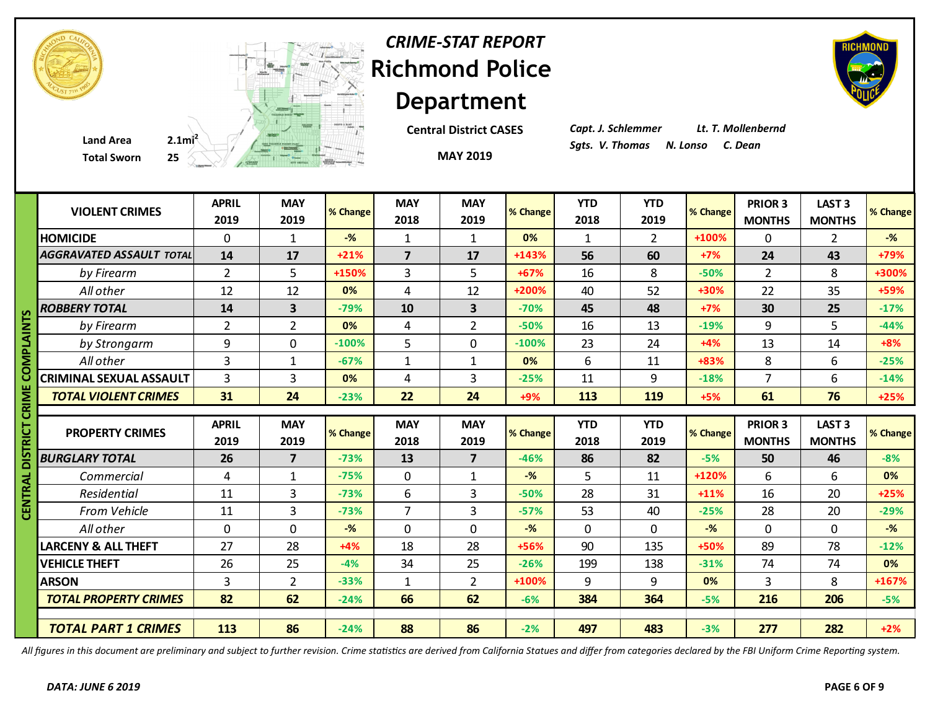| <b>CRIME-STAT REPORT</b> |
|--------------------------|
| Richmond Police          |
| <b>Department</b>        |

**Central District CASES**

**MAY 2019**

*Capt. J. Schlemmer Lt. T. Mollenbernd*

|               | <b>Total Sworn</b>              |                      | 25 A A A A REAL PROPERTY |          |                         | <b>MAY 2019</b>         |          |                    |                    |          |                                 |                                    |          |
|---------------|---------------------------------|----------------------|--------------------------|----------|-------------------------|-------------------------|----------|--------------------|--------------------|----------|---------------------------------|------------------------------------|----------|
|               | <b>VIOLENT CRIMES</b>           | <b>APRIL</b><br>2019 | <b>MAY</b><br>2019       | % Change | <b>MAY</b><br>2018      | <b>MAY</b><br>2019      | % Change | <b>YTD</b><br>2018 | <b>YTD</b><br>2019 | % Change | <b>PRIOR 3</b><br><b>MONTHS</b> | LAST <sub>3</sub><br><b>MONTHS</b> | % Change |
|               | <b>HOMICIDE</b>                 | 0                    | 1                        | $-$ %    | $\mathbf{1}$            | 1                       | 0%       | $\mathbf{1}$       | $2^{\circ}$        | +100%    | 0                               | $\mathbf{2}$                       | $-$ %    |
|               | <b>AGGRAVATED ASSAULT TOTAL</b> | 14                   | 17                       | $+21%$   | $\overline{\mathbf{z}}$ | 17                      | $+143%$  | 56                 | 60                 | $+7%$    | 24                              | 43                                 | +79%     |
|               | by Firearm                      | $\overline{2}$       | 5                        | +150%    | $\overline{3}$          | 5                       | +67%     | 16                 | 8                  | $-50%$   | $\overline{2}$                  | 8                                  | +300%    |
|               | All other                       | 12                   | 12                       | 0%       | 4                       | 12                      | +200%    | 40                 | 52                 | +30%     | 22                              | 35                                 | +59%     |
|               | <b>ROBBERY TOTAL</b>            | 14                   | 3                        | $-79%$   | 10                      | $\overline{\mathbf{3}}$ | $-70%$   | 45                 | 48                 | $+7%$    | 30                              | 25                                 | $-17%$   |
|               | by Firearm                      | $\overline{2}$       | $\overline{2}$           | 0%       | 4                       | $\overline{2}$          | $-50%$   | 16                 | 13                 | $-19%$   | 9                               | 5                                  | $-44%$   |
| <b>PLAINT</b> | by Strongarm                    | 9                    | 0                        | $-100%$  | 5                       | $\mathbf 0$             | $-100%$  | 23                 | 24                 | $+4%$    | 13                              | 14                                 | $+8%$    |
| ≅             | All other                       | $\overline{3}$       | $\mathbf{1}$             | $-67%$   | $\mathbf{1}$            | $\mathbf{1}$            | 0%       | 6                  | 11                 | +83%     | 8                               | 6                                  | $-25%$   |
|               | <b>CRIMINAL SEXUAL ASSAULT</b>  | 3                    | 3                        | 0%       | $\overline{4}$          | 3                       | $-25%$   | 11                 | 9                  | $-18%$   | $\overline{7}$                  | 6                                  | $-14%$   |
|               | <b>TOTAL VIOLENT CRIMES</b>     | 31                   | 24                       | $-23%$   | 22                      | 24                      | +9%      | 113                | 119                | $+5%$    | 61                              | 76                                 | $+25%$   |
|               |                                 |                      |                          |          |                         |                         |          |                    |                    |          |                                 |                                    |          |
| g             |                                 |                      |                          |          |                         |                         |          |                    |                    |          |                                 |                                    |          |
| 5             | <b>PROPERTY CRIMES</b>          | <b>APRIL</b><br>2019 | <b>MAY</b><br>2019       | % Change | <b>MAY</b><br>2018      | <b>MAY</b><br>2019      | % Change | <b>YTD</b><br>2018 | <b>YTD</b><br>2019 | % Change | <b>PRIOR 3</b><br><b>MONTHS</b> | LAST <sub>3</sub><br><b>MONTHS</b> | % Change |
|               | <b>BURGLARY TOTAL</b>           | 26                   | $\overline{7}$           | $-73%$   | 13                      | $\overline{7}$          | $-46%$   | 86                 | 82                 | $-5%$    | 50                              | 46                                 | $-8%$    |
|               | Commercial                      | 4                    | $\mathbf{1}$             | $-75%$   | $\pmb{0}$               | $\mathbf{1}$            | $-$ %    | 5                  | 11                 | +120%    | 6                               | 6                                  | 0%       |
|               | Residential                     | 11                   | 3                        | $-73%$   | 6                       | 3                       | $-50%$   | 28                 | 31                 | $+11%$   | 16                              | 20                                 | $+25%$   |
|               | From Vehicle                    | 11                   | 3                        | $-73%$   | $\overline{7}$          | 3                       | $-57%$   | 53                 | 40                 | $-25%$   | 28                              | 20                                 | $-29%$   |
|               | All other                       | $\mathbf 0$          | $\Omega$                 | $-%$     | $\mathbf 0$             | $\mathbf 0$             | $-$ %    | $\mathbf{0}$       | $\mathbf 0$        | $-$ %    | $\mathbf 0$                     | 0                                  | $-%$     |
| Ξ             | <b>LARCENY &amp; ALL THEFT</b>  | 27                   | 28                       | $+4%$    | 18                      | 28                      | +56%     | 90                 | 135                | +50%     | 89                              | 78                                 | $-12%$   |
|               | <b>VEHICLE THEFT</b>            | 26                   | 25                       | $-4%$    | 34                      | 25                      | $-26%$   | 199                | 138                | $-31%$   | 74                              | 74                                 | 0%       |
|               | <b>ARSON</b>                    | 3                    | $\overline{2}$           | $-33%$   | $\mathbf{1}$            | $\overline{2}$          | +100%    | 9                  | 9                  | 0%       | 3                               | 8                                  | $+167%$  |
|               | <b>TOTAL PROPERTY CRIMES</b>    | 82                   | 62                       | $-24%$   | 66                      | 62                      | $-6%$    | 384                | 364                | $-5%$    | 216                             | 206                                | $-5%$    |

*All figures in this document are preliminary and subject to further revision. Crime statistics are derived from California Statues and differ from categories declared by the FBI Uniform Crime Reporting system.*



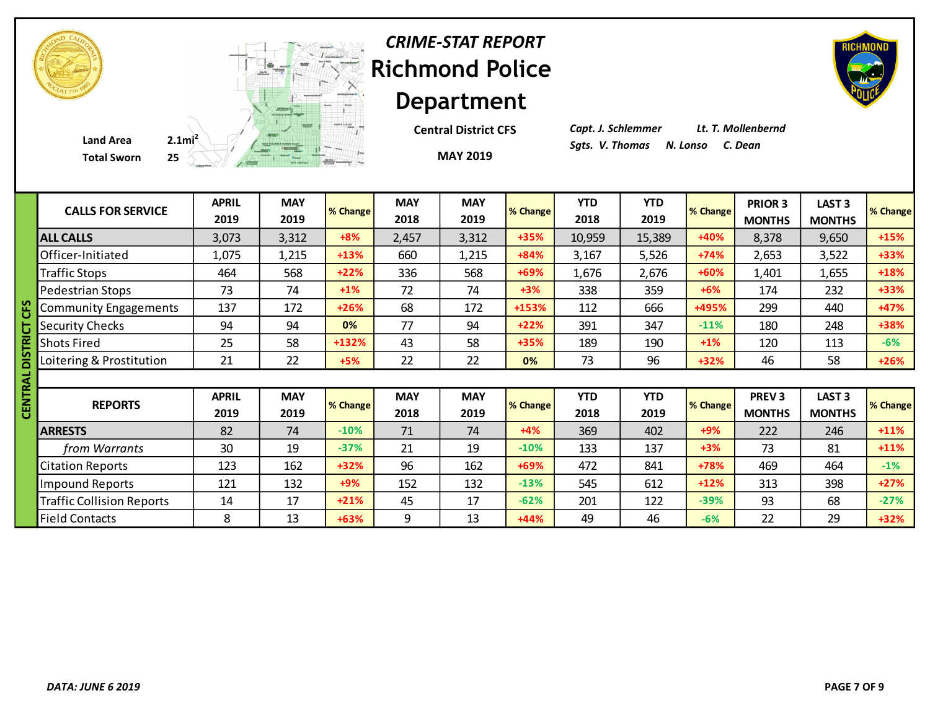| <b>CRIME-STAT REPORT</b> |
|--------------------------|
| <b>Richmond Police</b>   |
| <b>Department</b>        |

**MAY 2019 Central District CFS** *Capt. J. Schlemmer Lt. T. Mollenbernd*

| <b>CALLS FOR SERVICE</b>         | <b>APRIL</b><br>2019 | <b>MAY</b><br>2019 | % Change | <b>MAY</b><br>2018 | <b>MAY</b><br>2019 | % Change | <b>YTD</b><br>2018 | <b>YTD</b><br>2019 | % Change | PRIOR 3<br><b>MONTHS</b>      | LAST <sub>3</sub><br><b>MONTHS</b> | <b>% Change</b> |
|----------------------------------|----------------------|--------------------|----------|--------------------|--------------------|----------|--------------------|--------------------|----------|-------------------------------|------------------------------------|-----------------|
| <b>ALL CALLS</b>                 | 3,073                | 3,312              | $+8%$    | 2,457              | 3,312              | $+35%$   | 10,959             | 15,389             | +40%     | 8,378                         | 9,650                              | +15%            |
| Officer-Initiated                | 1,075                | 1,215              | $+13%$   | 660                | 1,215              | $+84%$   | 3,167              | 5,526              | $+74%$   | 2,653                         | 3,522                              | +33%            |
| <b>Traffic Stops</b>             | 464                  | 568                | $+22%$   | 336                | 568                | +69%     | 1,676              | 2,676              | +60%     | 1,401                         | 1,655                              | +18%            |
| Pedestrian Stops                 | 73                   | 74                 | $+1%$    | 72                 | 74                 | $+3%$    | 338                | 359                | $+6%$    | 174                           | 232                                | +33%            |
| <b>Community Engagements</b>     | 137                  | 172                | $+26%$   | 68                 | 172                | +153%    | 112                | 666                | +495%    | 299                           | 440                                | +47%            |
| <b>Security Checks</b>           | 94                   | 94                 | 0%       | 77                 | 94                 | $+22%$   | 391                | 347                | $-11%$   | 180                           | 248                                | +38%            |
| <b>Shots Fired</b>               | 25                   | 58                 | $+132%$  | 43                 | 58                 | +35%     | 189                | 190                | $+1\%$   | 120                           | 113                                | $-6%$           |
| Loitering & Prostitution         | 21                   | 22                 | $+5%$    | 22                 | 22                 | 0%       | 73                 | 96                 | $+32%$   | 46                            | 58                                 | $+26%$          |
|                                  |                      |                    |          |                    |                    |          |                    |                    |          |                               |                                    |                 |
| <b>REPORTS</b>                   | <b>APRIL</b><br>2019 | <b>MAY</b><br>2019 | % Change | <b>MAY</b><br>2018 | <b>MAY</b><br>2019 | % Change | <b>YTD</b><br>2018 | <b>YTD</b><br>2019 | % Change | <b>PREV3</b><br><b>MONTHS</b> | <b>LAST 3</b><br><b>MONTHS</b>     | % Change        |
| <b>ARRESTS</b>                   | 82                   | 74                 | $-10%$   | 71                 | 74                 | $+4%$    | 369                | 402                | $+9%$    | 222                           | 246                                | $+11%$          |
| from Warrants                    | 30                   | 19                 | $-37%$   | 21                 | 19                 | $-10%$   | 133                | 137                | $+3%$    | 73                            | 81                                 | $+11%$          |
| <b>Citation Reports</b>          | 123                  | 162                | $+32%$   | 96                 | 162                | $+69%$   | 472                | 841                | +78%     | 469                           | 464                                | $-1%$           |
| Impound Reports                  | 121                  | 132                | $+9%$    | 152                | 132                | $-13%$   | 545                | 612                | $+12%$   | 313                           | 398                                | $+27%$          |
| <b>Traffic Collision Reports</b> | 14                   | 17                 | $+21%$   | 45                 | 17                 | $-62%$   | 201                | 122                | $-39%$   | 93                            | 68                                 | $-27%$          |
| <b>Field Contacts</b>            | 8                    | 13                 | $+63%$   | 9                  | 13                 | $+44%$   | 49                 | 46                 | $-6%$    | 22                            | 29                                 | $+32%$          |





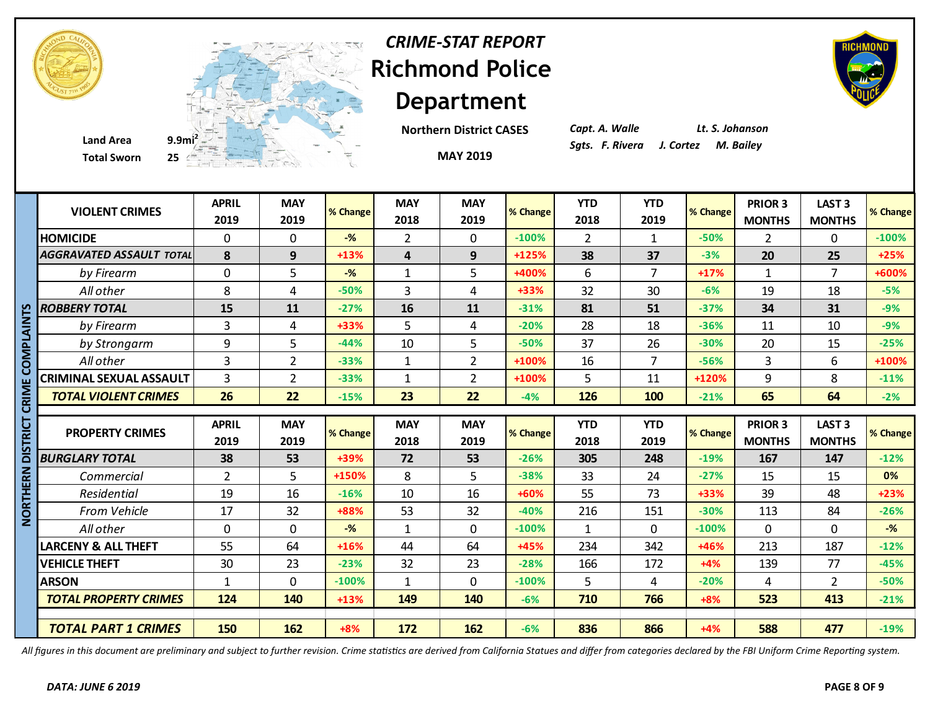



**Total Sworn** 

**Department Northern District CASES**

**MAY 2019**

*CRIME-STAT REPORT*

*Capt. A. Walle Lt. S. Johanson*

|             | <b>VIOLENT CRIMES</b>           | <b>APRIL</b><br>2019 | <b>MAY</b><br>2019 | % Change       | <b>MAY</b><br>2018 | <b>MAY</b><br>2019 | % Change | <b>YTD</b><br>2018 | <b>YTD</b><br>2019 | % Change | PRIOR 3<br><b>MONTHS</b> | <b>LAST 3</b><br><b>MONTHS</b> | % Change           |
|-------------|---------------------------------|----------------------|--------------------|----------------|--------------------|--------------------|----------|--------------------|--------------------|----------|--------------------------|--------------------------------|--------------------|
|             | <b>HOMICIDE</b>                 | 0                    | $\Omega$           | $-%$           | $\overline{2}$     | $\mathbf{0}$       | $-100%$  | $\overline{2}$     | $\mathbf{1}$       | $-50%$   | $\overline{2}$           | $\Omega$                       | $-100%$            |
|             | <b>AGGRAVATED ASSAULT TOTAL</b> | 8                    | 9                  | $+13%$         | 4                  | 9                  | $+125%$  | 38                 | 37                 | $-3%$    | 20                       | 25                             | $+25%$             |
|             | by Firearm                      | 0                    | 5                  | $-\frac{9}{6}$ | $\mathbf{1}$       | 5                  | +400%    | 6                  | $\overline{7}$     | $+17%$   | 1                        | $\overline{7}$                 | +600%              |
|             | All other                       | 8                    | 4                  | $-50%$         | 3                  | 4                  | +33%     | 32                 | 30                 | $-6%$    | 19                       | 18                             | $-5%$              |
|             | <b>ROBBERY TOTAL</b>            | 15                   | 11                 | $-27%$         | 16                 | 11                 | $-31%$   | 81                 | 51                 | $-37%$   | 34                       | 31                             | $-9%$              |
|             | by Firearm                      | 3                    | 4                  | +33%           | 5                  | 4                  | $-20%$   | 28                 | 18                 | $-36%$   | 11                       | 10                             | $-9%$              |
| DMPLAIN     | by Strongarm                    | 9                    | 5                  | $-44%$         | 10                 | 5                  | $-50%$   | 37                 | 26                 | $-30%$   | 20                       | 15                             | $-25%$             |
|             | All other                       | $\overline{3}$       | $\overline{2}$     | $-33%$         | $\mathbf{1}$       | $\overline{2}$     | +100%    | 16                 | $\overline{7}$     | $-56%$   | 3                        | 6                              | +100%              |
|             | <b>CRIMINAL SEXUAL ASSAULT</b>  | 3                    | $\overline{2}$     | $-33%$         | $\mathbf{1}$       | $\overline{2}$     | +100%    | 5                  | 11                 | +120%    | 9                        | 8                              | $-11%$             |
|             | <b>TOTAL VIOLENT CRIMES</b>     | 26                   | 22                 | $-15%$         | 23                 | 22                 | $-4%$    | 126                | 100                | $-21%$   | 65                       | 64                             | $-2%$              |
| ت           |                                 |                      |                    |                |                    |                    |          |                    |                    |          |                          |                                |                    |
|             |                                 |                      |                    |                |                    |                    |          |                    |                    |          |                          |                                |                    |
| ō           |                                 | <b>APRIL</b>         | <b>MAY</b>         |                | <b>MAY</b>         | <b>MAY</b>         |          | <b>YTD</b>         | <b>YTD</b>         |          | PRIOR 3                  | LAST <sub>3</sub>              |                    |
| ᇎ           | <b>PROPERTY CRIMES</b>          | 2019                 | 2019               | % Change       | 2018               | 2019               | % Change | 2018               | 2019               | % Change | <b>MONTHS</b>            | <b>MONTHS</b>                  |                    |
|             | <b>BURGLARY TOTAL</b>           | 38                   | 53                 | +39%           | 72                 | 53                 | $-26%$   | 305                | 248                | $-19%$   | 167                      | 147                            | $-12%$             |
|             | Commercial                      | $\overline{2}$       | 5.                 | +150%          | 8                  | 5                  | $-38%$   | 33                 | 24                 | $-27%$   | 15                       | 15                             | 0%                 |
| ERN         | Residential                     | 19                   | 16                 | $-16%$         | 10                 | 16                 | +60%     | 55                 | 73                 | $+33%$   | 39                       | 48                             | $+23%$             |
| <b>THIN</b> | From Vehicle                    | 17                   | 32                 | +88%           | 53                 | 32                 | $-40%$   | 216                | 151                | $-30%$   | 113                      | 84                             | % Change<br>$-26%$ |
| z           | All other                       | 0                    | $\Omega$           | $-\frac{9}{6}$ | $\mathbf{1}$       | $\mathbf 0$        | $-100%$  | $\mathbf{1}$       | $\mathbf 0$        | $-100%$  | 0                        | 0                              | $-$ %              |
|             | <b>LARCENY &amp; ALL THEFT</b>  | 55                   | 64                 | $+16%$         | 44                 | 64                 | +45%     | 234                | 342                | +46%     | 213                      | 187                            | $-12%$             |
|             | <b>VEHICLE THEFT</b>            | 30                   | 23                 | $-23%$         | 32                 | 23                 | $-28%$   | 166                | 172                | $+4%$    | 139                      | 77                             | $-45%$             |
|             | <b>ARSON</b>                    | $\mathbf{1}$         | $\mathbf{0}$       | $-100%$        | $\mathbf{1}$       | $\mathbf{0}$       | $-100%$  | 5                  | 4                  | $-20%$   | $\overline{4}$           | $\overline{2}$                 | $-50%$             |
|             | <b>TOTAL PROPERTY CRIMES</b>    | 124                  | 140                | $+13%$         | 149                | 140                | $-6%$    | 710                | 766                | $+8%$    | 523                      | 413                            | $-21%$             |
|             |                                 |                      |                    |                |                    |                    |          | 836                |                    |          |                          | 477                            | $-19%$             |

*All figures in this document are preliminary and subject to further revision. Crime statistics are derived from California Statues and differ from categories declared by the FBI Uniform Crime Reporting system.*